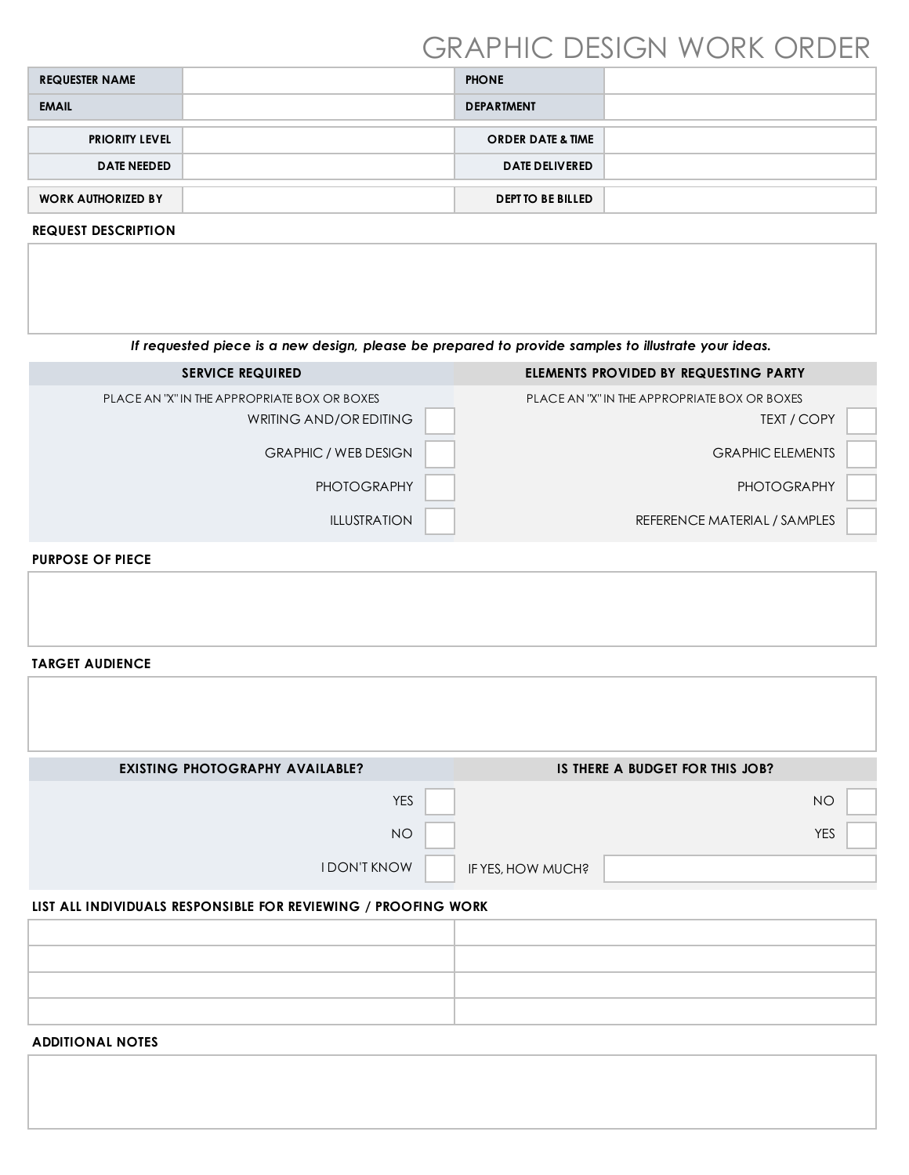# GRAPHIC DESIGN WORK ORDER

| <b>REQUESTER NAME</b>     | <b>PHONE</b>                 |  |
|---------------------------|------------------------------|--|
| <b>EMAIL</b>              | <b>DEPARTMENT</b>            |  |
| <b>PRIORITY LEVEL</b>     | <b>ORDER DATE &amp; TIME</b> |  |
| <b>DATE NEEDED</b>        | <b>DATE DELIVERED</b>        |  |
| <b>WORK AUTHORIZED BY</b> | <b>DEPT TO BE BILLED</b>     |  |

#### **REQUEST DESCRIPTION**

| If requested piece is a new design, please be prepared to provide samples to illustrate your ideas.   |                                                                                               |  |  |  |
|-------------------------------------------------------------------------------------------------------|-----------------------------------------------------------------------------------------------|--|--|--|
| <b>SERVICE REQUIRED</b>                                                                               | ELEMENTS PROVIDED BY REQUESTING PARTY                                                         |  |  |  |
| PLACE AN "X" IN THE APPROPRIATE BOX OR BOXES<br>WRITING AND/OR EDITING<br><b>GRAPHIC / WEB DESIGN</b> | PLACE AN "X" IN THE APPROPRIATE BOX OR BOXES<br><b>TEXT / COPY</b><br><b>GRAPHIC ELEMENTS</b> |  |  |  |
| <b>PHOTOGRAPHY</b>                                                                                    | <b>PHOTOGRAPHY</b>                                                                            |  |  |  |
| <b>ILLUSTRATION</b>                                                                                   | REFERENCE MATERIAL / SAMPLES                                                                  |  |  |  |

#### **PURPOSE OF PIECE**

| <b>TARGET AUDIENCE</b> |  |  |  |
|------------------------|--|--|--|

| <b>EXISTING PHOTOGRAPHY AVAILABLE?</b> | IS THERE A BUDGET FOR THIS JOB? |
|----------------------------------------|---------------------------------|
| <b>YES</b>                             | <b>NO</b>                       |
| <b>NO</b>                              | <b>YES</b>                      |
| <b>IDON'T KNOW</b>                     | IF YES, HOW MUCH?               |

### **LIST ALL INDIVIDUALS RESPONSIBLE FOR REVIEWING / PROOFING WORK**

#### **ADDITIONAL NOTES**